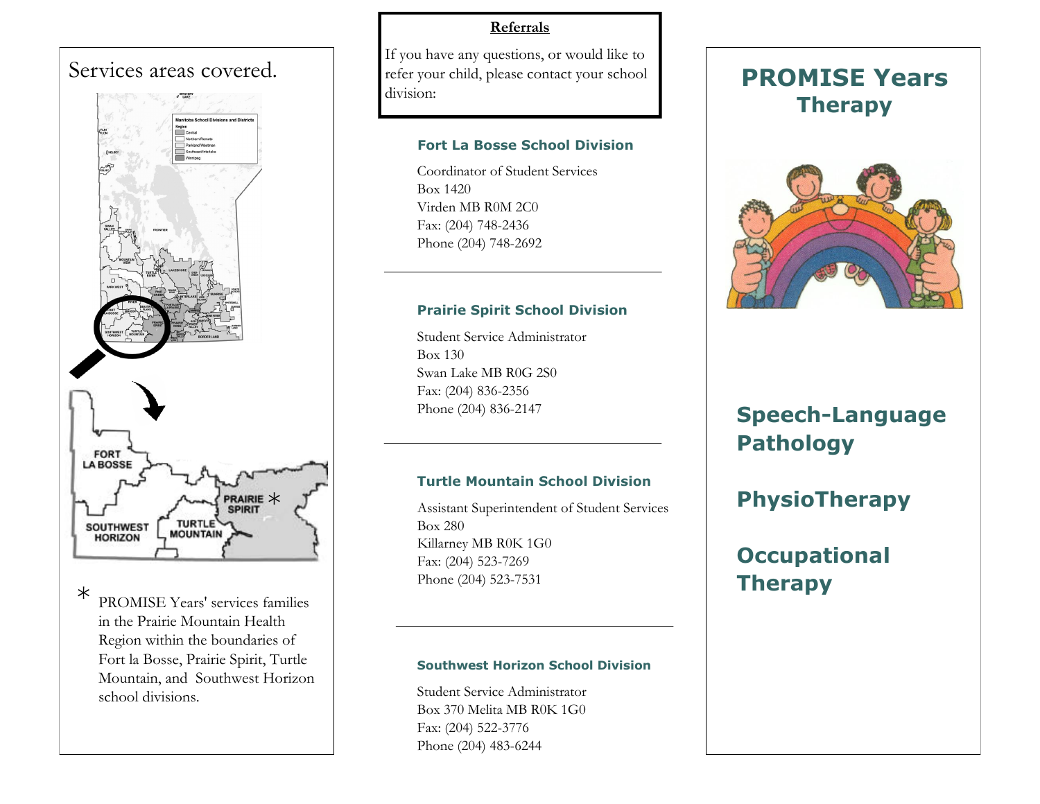## Services areas covered.



\* PROMISE Years' services families in the Prairie Mountain Health Region within the boundaries of Fort la Bosse, Prairie Spirit, Turtle Mountain, and Southwest Horizon school divisions.

### **Referrals**

If you have any questions, or would like to refer your child, please contact your school division:

#### **Fort La Bosse School Division**

Coordinator of Student Services Box 1420 Virden MB R0M 2C0 Fax: (204) 748-2436 Phone (204) 748-2692

### **Prairie Spirit School Division**

Student Service Administrator Box 130 Swan Lake MB R0G 2S0 Fax: (204) 836-2356 Phone (204) 836-2147

### **Turtle Mountain School Division**

Assistant Superintendent of Student Services Box 280 Killarney MB R0K 1G0 Fax: (204) 523-7269 Phone (204) 523-7531

#### **Southwest Horizon School Division**

Student Service Administrator Box 370 Melita MB R0K 1G0 Fax: (204) 522-3776 Phone (204) 483-6244

## **PROMISE Years Therapy**



# **Speech-Language Pathology**

## **PhysioTherapy**

# **Occupational Therapy**